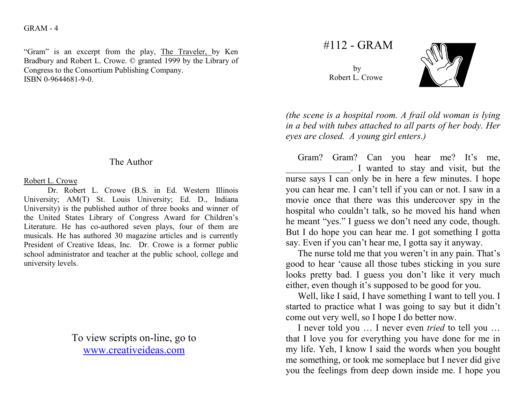## $GRAM - 4$

"Gram" is an excerpt from the play, The Traveler, by Ken Bradbury and Robert L. Crowe. © granted 1999 by the Library of Congress to the Consortium Publishing Company. ISBN 0-9644681-9-0.

## The Author

## Robert L. Crowe

 Dr. Robert L. Crowe (B.S. in Ed. Western Illinois University; AM(T) St. Louis University; Ed. D., Indiana University) is the published author of three books and winner of the United States Library of Congress Award for Children's Literature. He has co-authored seven plays, four of them are musicals. He has authored 30 magazine articles and is currently President of Creative Ideas, Inc. Dr. Crowe is a former public school administrator and teacher at the public school, college and university levels.

> To view scripts on-line, go to www.creativeideas.com

#112 - GRAM

by Robert L. Crowe



(the scene is a hospital room. A frail old woman is lying in a bed with tubes attached to all parts of her body. Her eyes are closed. A young girl enters.)

Gram? Gram? Can you hear me? It's me, \_\_\_\_\_\_\_\_\_\_\_\_\_\_. I wanted to stay and visit, but the nurse says I can only be in here a few minutes. I hope you can hear me. I can't tell if you can or not. I saw in a movie once that there was this undercover spy in the hospital who couldn't talk, so he moved his hand when he meant "yes." I guess we don't need any code, though. But I do hope you can hear me. I got something I gotta say. Even if you can't hear me, I gotta say it anyway.

 The nurse told me that you weren't in any pain. That's good to hear 'cause all those tubes sticking in you sure looks pretty bad. I guess you don't like it very much either, even though it's supposed to be good for you.

 Well, like I said, I have something I want to tell you. I started to practice what I was going to say but it didn't come out very well, so I hope I do better now.

I never told you ... I never even *tried* to tell you ... that I love you for everything you have done for me in my life. Yeh, I know I said the words when you bought me something, or took me someplace but I never did give you the feelings from deep down inside me. I hope you